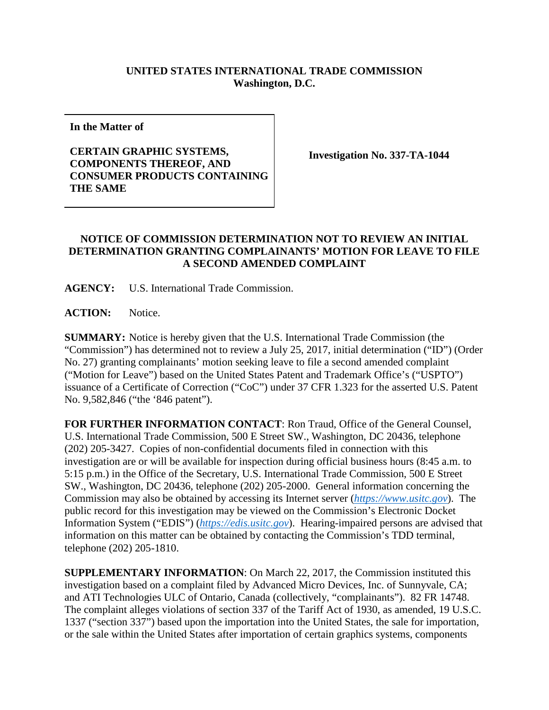## **UNITED STATES INTERNATIONAL TRADE COMMISSION Washington, D.C.**

**In the Matter of**

## **CERTAIN GRAPHIC SYSTEMS, COMPONENTS THEREOF, AND CONSUMER PRODUCTS CONTAINING THE SAME**

**Investigation No. 337-TA-1044**

## **NOTICE OF COMMISSION DETERMINATION NOT TO REVIEW AN INITIAL DETERMINATION GRANTING COMPLAINANTS' MOTION FOR LEAVE TO FILE A SECOND AMENDED COMPLAINT**

**AGENCY:** U.S. International Trade Commission.

**ACTION:** Notice.

**SUMMARY:** Notice is hereby given that the U.S. International Trade Commission (the "Commission") has determined not to review a July 25, 2017, initial determination ("ID") (Order No. 27) granting complainants' motion seeking leave to file a second amended complaint ("Motion for Leave") based on the United States Patent and Trademark Office's ("USPTO") issuance of a Certificate of Correction ("CoC") under 37 CFR 1.323 for the asserted U.S. Patent No. 9,582,846 ("the '846 patent").

**FOR FURTHER INFORMATION CONTACT**: Ron Traud, Office of the General Counsel, U.S. International Trade Commission, 500 E Street SW., Washington, DC 20436, telephone (202) 205-3427. Copies of non-confidential documents filed in connection with this investigation are or will be available for inspection during official business hours (8:45 a.m. to 5:15 p.m.) in the Office of the Secretary, U.S. International Trade Commission, 500 E Street SW., Washington, DC 20436, telephone (202) 205-2000. General information concerning the Commission may also be obtained by accessing its Internet server (*[https://www.usitc.gov](https://www.usitc.gov/)*). The public record for this investigation may be viewed on the Commission's Electronic Docket Information System ("EDIS") (*[https://edis.usitc.gov](https://edis.usitc.gov/)*). Hearing-impaired persons are advised that information on this matter can be obtained by contacting the Commission's TDD terminal, telephone (202) 205-1810.

**SUPPLEMENTARY INFORMATION**: On March 22, 2017, the Commission instituted this investigation based on a complaint filed by Advanced Micro Devices, Inc. of Sunnyvale, CA; and ATI Technologies ULC of Ontario, Canada (collectively, "complainants"). 82 FR 14748. The complaint alleges violations of section 337 of the Tariff Act of 1930, as amended, 19 U.S.C. 1337 ("section 337") based upon the importation into the United States, the sale for importation, or the sale within the United States after importation of certain graphics systems, components